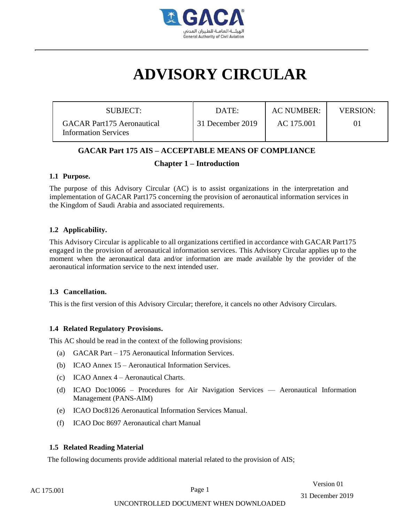

# **ADVISORY CIRCULAR**

| SUBJECT:                                                         | DATE:            | AC NUMBER: | <b>VERSION:</b> |
|------------------------------------------------------------------|------------------|------------|-----------------|
| <b>GACAR Part175 Aeronautical</b><br><b>Information Services</b> | 31 December 2019 | AC 175.001 | 01              |

# **GACAR Part 175 AIS – ACCEPTABLE MEANS OF COMPLIANCE**

# **Chapter 1 – Introduction**

## **1.1 Purpose.**

The purpose of this Advisory Circular (AC) is to assist organizations in the interpretation and implementation of GACAR Part175 concerning the provision of aeronautical information services in the Kingdom of Saudi Arabia and associated requirements.

## **1.2 Applicability.**

This Advisory Circular is applicable to all organizations certified in accordance with GACAR Part175 engaged in the provision of aeronautical information services. This Advisory Circular applies up to the moment when the aeronautical data and/or information are made available by the provider of the aeronautical information service to the next intended user.

## **1.3 Cancellation.**

This is the first version of this Advisory Circular; therefore, it cancels no other Advisory Circulars.

## **1.4 Related Regulatory Provisions.**

This AC should be read in the context of the following provisions:

- (a) GACAR Part 175 Aeronautical Information Services.
- (b) ICAO Annex 15 Aeronautical Information Services.
- (c) ICAO Annex 4 Aeronautical Charts.
- (d) ICAO Doc10066 Procedures for Air Navigation Services Aeronautical Information Management (PANS-AIM)
- (e) ICAO Doc8126 Aeronautical Information Services Manual.
- (f) ICAO Doc 8697 Aeronautical chart Manual

## **1.5 Related Reading Material**

The following documents provide additional material related to the provision of AIS;

Version 01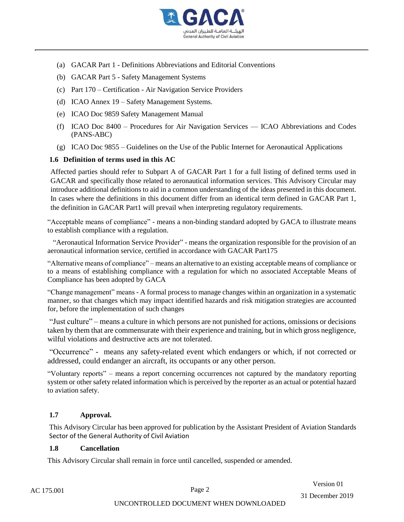

- (a) GACAR Part 1 Definitions Abbreviations and Editorial Conventions
- (b) GACAR Part 5 Safety Management Systems
- (c) Part 170 Certification Air Navigation Service Providers
- (d) ICAO Annex 19 Safety Management Systems.
- (e) ICAO Doc 9859 Safety Management Manual
- (f) ICAO Doc 8400 Procedures for Air Navigation Services ICAO Abbreviations and Codes (PANS-ABC)
- (g) ICAO Doc 9855 Guidelines on the Use of the Public Internet for Aeronautical Applications

#### **1.6 Definition of terms used in this AC**

Affected parties should refer to Subpart A of GACAR Part 1 for a full listing of defined terms used in GACAR and specifically those related to aeronautical information services. This Advisory Circular may introduce additional definitions to aid in a common understanding of the ideas presented in this document. In cases where the definitions in this document differ from an identical term defined in GACAR Part 1, the definition in GACAR Part1 will prevail when interpreting regulatory requirements.

"Acceptable means of compliance" - means a non-binding standard adopted by GACA to illustrate means to establish compliance with a regulation.

 "Aeronautical Information Service Provider" - means the organization responsible for the provision of an aeronautical information service, certified in accordance with GACAR Part175

"Alternative means of compliance" – means an alternative to an existing [acceptable means of compliance](https://www.skybrary.aero/index.php/Acceptable_Means_of_Compliance) or to a means of establishing compliance with a regulation for which no associated [Acceptable Means of](https://www.skybrary.aero/index.php/AMC)  [Compliance](https://www.skybrary.aero/index.php/AMC) has been adopted by GACA

"Change management" means - A formal process to manage changes within an organization in a systematic manner, so that changes which may impact identified hazards and risk mitigation strategies are accounted for, before the implementation of such changes

"Just culture" – means a culture in which persons are not punished for actions, omissions or decisions taken by them that are commensurate with their experience and training, but in which gross negligence, wilful violations and destructive acts are not tolerated.

"Occurrence" - means any safety-related event which endangers or which, if not corrected or addressed, could endanger an aircraft, its occupants or any other person.

"Voluntary reports" – means a report concerning occurrences not captured by the mandatory reporting system or other safety related information which is perceived by the reporter as an actual or potential hazard to aviation safety.

## **1.7 Approval.**

This Advisory Circular has been approved for publication by the Assistant President of Aviation Standards Sector of the General Authority of Civil Aviation

#### **1.8 Cancellation**

This Advisory Circular shall remain in force until cancelled, suspended or amended.

Version 01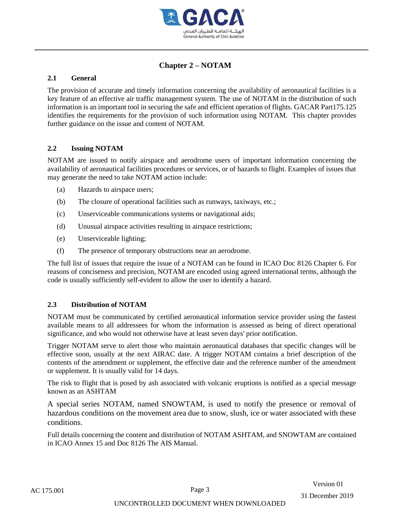

# **Chapter 2 – NOTAM**

## **2.1 General**

The provision of accurate and timely information concerning the availability of aeronautical facilities is a key feature of an effective air traffic management system. The use of NOTAM in the distribution of such information is an important tool in securing the safe and efficient operation of flights. GACAR Part175.125 identifies the requirements for the provision of such information using NOTAM. This chapter provides further guidance on the issue and content of NOTAM.

## **2.2 Issuing NOTAM**

NOTAM are issued to notify airspace and aerodrome users of important information concerning the availability of aeronautical facilities procedures or services, or of hazards to flight. Examples of issues that may generate the need to take NOTAM action include:

- (a) Hazards to airspace users;
- (b) The closure of operational facilities such as runways, taxiways, etc.;
- (c) Unserviceable communications systems or navigational aids;
- (d) Unusual airspace activities resulting in airspace restrictions;
- (e) Unserviceable lighting;
- (f) The presence of temporary obstructions near an aerodrome.

The full list of issues that require the issue of a NOTAM can be found in ICAO Doc 8126 Chapter 6. For reasons of conciseness and precision, NOTAM are encoded using agreed international terms, although the code is usually sufficiently self-evident to allow the user to identify a hazard.

## **2.3 Distribution of NOTAM**

NOTAM must be communicated by certified aeronautical information service provider using the fastest available means to all addressees for whom the information is assessed as being of direct operational significance, and who would not otherwise have at least seven days' prior notification.

Trigger NOTAM serve to alert those who maintain aeronautical databases that specific changes will be effective soon, usually at the next AIRAC date. A trigger NOTAM contains a brief description of the contents of the amendment or supplement, the effective date and the reference number of the amendment or supplement. It is usually valid for 14 days.

The risk to flight that is posed by ash associated with volcanic eruptions is notified as a special message known as an ASHTAM

A special series NOTAM, named SNOWTAM, is used to notify the presence or removal of hazardous conditions on the movement area due to snow, slush, ice or water associated with these conditions.

Full details concerning the content and distribution of NOTAM ASHTAM, and SNOWTAM are contained in ICAO Annex 15 and Doc 8126 The AIS Manual.

Version 01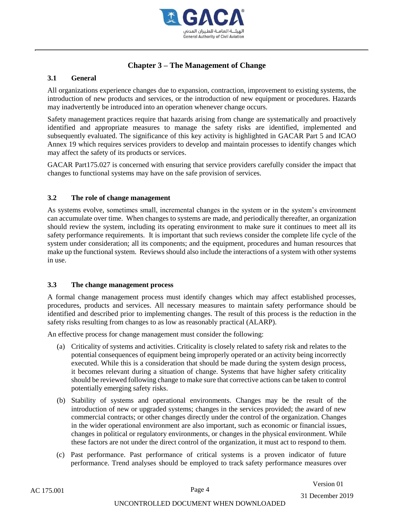

# **Chapter 3 – The Management of Change**

## **3.1 General**

All organizations experience changes due to expansion, contraction, improvement to existing systems, the introduction of new products and services, or the introduction of new equipment or procedures. Hazards may inadvertently be introduced into an operation whenever change occurs.

[Safety management](https://www.skybrary.aero/index.php/Safety_Management) practices require that hazards arising from change are systematically and proactively identified and appropriate measures to manage the safety risks are identified, implemented and subsequently evaluated. The significance of this key activity is highlighted in GACAR Part 5 and ICAO Annex 19 which requires services providers to develop and maintain processes to identify changes which may affect the safety of its products or services.

GACAR Part175.027 is concerned with ensuring that service providers carefully consider the impact that changes to functional systems may have on the safe provision of services.

## **3.2 The role of change management**

As systems evolve, sometimes small, incremental changes in the system or in the system's environment can accumulate over time. When changes to systems are made, and periodically thereafter, an organization should review the system, including its operating environment to make sure it continues to meet all its safety performance requirements. It is important that such reviews consider the complete life cycle of the system under consideration; all its components; and the equipment, procedures and human resources that make up the functional system. Reviews should also include the interactions of a system with other systems in use.

## **3.3 The change management process**

A formal change management process must identify changes which may affect established processes, procedures, products and services. All necessary measures to maintain safety performance should be identified and described prior to implementing changes. The result of this process is the reduction in the safety risks resulting from changes to as low as reasonably practical (ALARP).

An effective process for change management must consider the following:

- (a) Criticality of systems and activities. Criticality is closely related to safety risk and relates to the potential consequences of equipment being improperly operated or an activity being incorrectly executed. While this is a consideration that should be made during the system design process, it becomes relevant during a situation of change. Systems that have higher safety criticality should be reviewed following change to make sure that corrective actions can be taken to control potentially emerging safety risks.
- (b) Stability of systems and operational environments. Changes may be the result of the introduction of new or upgraded systems; changes in the services provided; the award of new commercial contracts; or other changes directly under the control of the organization. Changes in the wider operational environment are also important, such as economic or financial issues, changes in political or regulatory environments, or changes in the physical environment. While these factors are not under the direct control of the organization, it must act to respond to them.
- (c) Past performance. Past performance of critical systems is a proven indicator of future performance. Trend analyses should be employed to track safety performance measures over

Version 01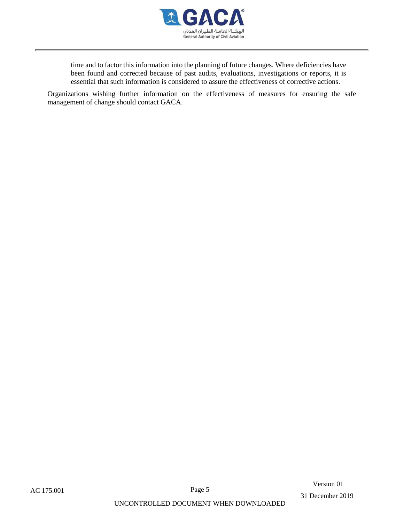

time and to factor this information into the planning of future changes. Where deficiencies have been found and corrected because of past audits, evaluations, investigations or reports, it is essential that such information is considered to assure the effectiveness of corrective actions.

Organizations wishing further information on the effectiveness of measures for ensuring the safe management of change should contact GACA.

Version 01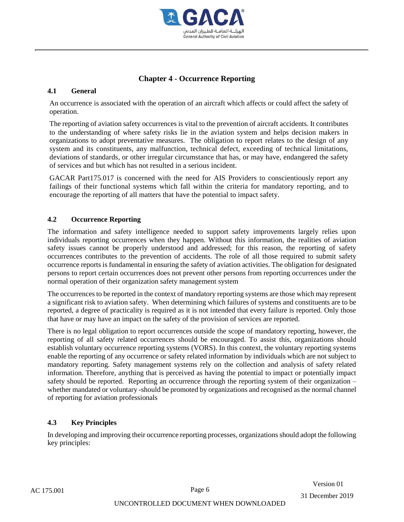

# **Chapter 4 - Occurrence Reporting**

## **4.1 General**

An occurrence is associated with the operation of an aircraft which affects or could affect the safety of operation.

The reporting of aviation safety occurrences is vital to the prevention of aircraft accidents. It contributes to the understanding of where safety risks lie in the aviation system and helps decision makers in organizations to adopt preventative measures. The obligation to report relates to the design of any system and its constituents, any malfunction, technical defect, exceeding of technical limitations, deviations of standards, or other irregular circumstance that has, or may have, endangered the safety of services and but which has not resulted in a serious incident.

GACAR Part175.017 is concerned with the need for AIS Providers to conscientiously report any failings of their functional systems which fall within the criteria for mandatory reporting, and to encourage the reporting of all matters that have the potential to impact safety.

## **4.2 Occurrence Reporting**

The information and safety intelligence needed to support safety improvements largely relies upon individuals reporting occurrences when they happen. Without this information, the realities of aviation safety issues cannot be properly understood and addressed; for this reason, the reporting of safety occurrences contributes to the prevention of accidents. The role of all those required to submit safety occurrence reports is fundamental in ensuring the safety of aviation activities. The obligation for designated persons to report certain occurrences does not prevent other persons from reporting occurrences under the normal operation of their organization safety management system

The occurrences to be reported in the context of mandatory reporting systems are those which may represent a significant risk to aviation safety. When determining which failures of systems and constituents are to be reported, a degree of practicality is required as it is not intended that every failure is reported. Only those that have or may have an impact on the safety of the provision of services are reported.

There is no legal obligation to report occurrences outside the scope of mandatory reporting, however, the reporting of all safety related occurrences should be encouraged. To assist this, organizations should establish voluntary occurrence reporting systems (VORS). In this context, the voluntary reporting systems enable the reporting of any occurrence or safety related information by individuals which are not subject to mandatory reporting. Safety management systems rely on the collection and analysis of safety related information. Therefore, anything that is perceived as having the potential to impact or potentially impact safety should be reported. Reporting an occurrence through the reporting system of their organization – whether mandated or voluntary -should be promoted by organizations and recognised as the normal channel of reporting for aviation professionals

## **4.3 Key Principles**

In developing and improving their occurrence reporting processes, organizations should adopt the following key principles:

Version 01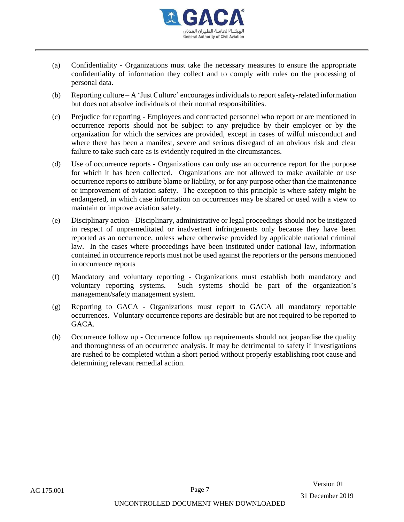

- (a) Confidentiality Organizations must take the necessary measures to ensure the appropriate confidentiality of information they collect and to comply with rules on the processing of personal data.
- (b) Reporting culture A 'Just Culture' encourages individuals to report safety-related information but does not absolve individuals of their normal responsibilities.
- (c) Prejudice for reporting Employees and contracted personnel who report or are mentioned in occurrence reports should not be subject to any prejudice by their employer or by the organization for which the services are provided, except in cases of wilful misconduct and where there has been a manifest, severe and serious disregard of an obvious risk and clear failure to take such care as is evidently required in the circumstances.
- (d) Use of occurrence reports Organizations can only use an occurrence report for the purpose for which it has been collected. Organizations are not allowed to make available or use occurrence reports to attribute blame or liability, or for any purpose other than the maintenance or improvement of aviation safety. The exception to this principle is where safety might be endangered, in which case information on occurrences may be shared or used with a view to maintain or improve aviation safety.
- (e) Disciplinary action Disciplinary, administrative or legal proceedings should not be instigated in respect of unpremeditated or inadvertent infringements only because they have been reported as an occurrence, unless where otherwise provided by applicable national criminal law. In the cases where proceedings have been instituted under national law, information contained in occurrence reports must not be used against the reporters or the persons mentioned in occurrence reports
- (f) Mandatory and voluntary reporting Organizations must establish both mandatory and voluntary reporting systems. Such systems should be part of the organization's management/safety management system.
- (g) Reporting to GACA Organizations must report to GACA all mandatory reportable occurrences. Voluntary occurrence reports are desirable but are not required to be reported to GACA.
- (h) Occurrence follow up Occurrence follow up requirements should not jeopardise the quality and thoroughness of an occurrence analysis. It may be detrimental to safety if investigations are rushed to be completed within a short period without properly establishing root cause and determining relevant remedial action.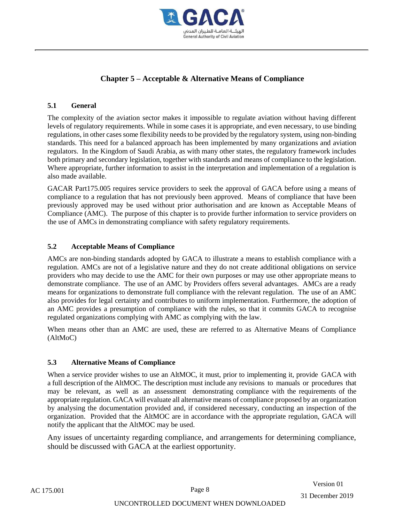

# **Chapter 5 – Acceptable & Alternative Means of Compliance**

## **5.1 General**

The complexity of the aviation sector makes it impossible to regulate aviation without having different levels of regulatory requirements. While in some cases it is appropriate, and even necessary, to use binding regulations, in other cases some flexibility needs to be provided by the regulatory system, using non-binding standards. This need for a balanced approach has been implemented by many organizations and aviation regulators. In the Kingdom of Saudi Arabia, as with many other states, the regulatory framework includes both primary and secondary legislation, together with standards and means of compliance to the legislation. Where appropriate, further information to assist in the interpretation and implementation of a regulation is also made available.

GACAR Part175.005 requires service providers to seek the approval of GACA before using a means of compliance to a regulation that has not previously been approved. Means of compliance that have been previously approved may be used without prior authorisation and are known as Acceptable Means of Compliance (AMC). The purpose of this chapter is to provide further information to service providers on the use of AMCs in demonstrating compliance with safety regulatory requirements.

#### **5.2 Acceptable Means of Compliance**

AMCs are non-binding standards adopted by GACA to illustrate a means to establish compliance with a regulation. AMCs are not of a legislative nature and they do not create additional obligations on service providers who may decide to use the AMC for their own purposes or may use other appropriate means to demonstrate compliance. The use of an AMC by Providers offers several advantages. AMCs are a ready means for organizations to demonstrate full compliance with the relevant regulation. The use of an AMC also provides for legal certainty and contributes to uniform implementation. Furthermore, the adoption of an AMC provides a presumption of compliance with the rules, so that it commits GACA to recognise regulated organizations complying with AMC as complying with the law.

When means other than an AMC are used, these are referred to as Alternative Means of Compliance (AltMoC)

## **5.3 Alternative Means of Compliance**

When a service provider wishes to use an AltMOC, it must, prior to implementing it, provide GACA with a full description of the AltMOC. The description must include any revisions to manuals or procedures that may be relevant, as well as an assessment demonstrating compliance with the requirements of the appropriate regulation. GACA will evaluate all alternative means of compliance proposed by an organization by analysing the documentation provided and, if considered necessary, conducting an inspection of the organization. Provided that the AltMOC are in accordance with the appropriate regulation, GACA will notify the applicant that the AltMOC may be used.

Any issues of uncertainty regarding compliance, and arrangements for determining compliance, should be discussed with GACA at the earliest opportunity.

Version 01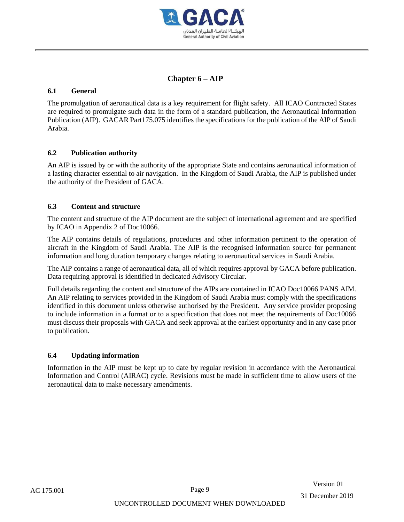

# **Chapter 6 – AIP**

## **6.1 General**

The promulgation of aeronautical data is a key requirement for flight safety. All ICAO Contracted States are required to promulgate such data in the form of a standard publication, the Aeronautical Information Publication (AIP). GACAR Part175.075 identifies the specifications for the publication of the AIP of Saudi Arabia.

## **6.2 Publication authority**

An AIP is issued by or with the authority of the appropriate State and contains aeronautical information of a lasting character essential to air navigation. In the Kingdom of Saudi Arabia, the AIP is published under the authority of the President of GACA.

## **6.3 Content and structure**

The content and structure of the AIP document are the subject of international agreement and are specified by ICAO in Appendix 2 of Doc10066.

The AIP contains details of regulations, procedures and other information pertinent to the operation of aircraft in the Kingdom of Saudi Arabia. The AIP is the recognised information source for permanent information and long duration temporary changes relating to aeronautical services in Saudi Arabia.

The AIP contains a range of aeronautical data, all of which requires approval by GACA before publication. Data requiring approval is identified in dedicated Advisory Circular.

Full details regarding the content and structure of the AIPs are contained in ICAO Doc10066 PANS AIM. An AIP relating to services provided in the Kingdom of Saudi Arabia must comply with the specifications identified in this document unless otherwise authorised by the President. Any service provider proposing to include information in a format or to a specification that does not meet the requirements of Doc10066 must discuss their proposals with GACA and seek approval at the earliest opportunity and in any case prior to publication.

## **6.4 Updating information**

Information in the AIP must be kept up to date by regular revision in accordance with the Aeronautical Information and Control (AIRAC) cycle. Revisions must be made in sufficient time to allow users of the aeronautical data to make necessary amendments.

 Version 01 31 December 2019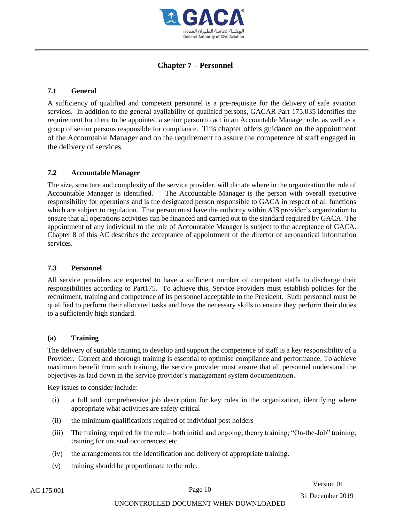

## **Chapter 7 – Personnel**

## **7.1 General**

A sufficiency of qualified and competent personnel is a pre-requisite for the delivery of safe aviation services. In addition to the general availability of qualified persons, GACAR Part 175.035 identifies the requirement for there to be appointed a senior person to act in an Accountable Manager role, as well as a group of senior persons responsible for compliance. This chapter offers guidance on the appointment of the Accountable Manager and on the requirement to assure the competence of staff engaged in the delivery of services.

## **7.2 Accountable Manager**

The size, structure and complexity of the service provider, will dictate where in the organization the role of Accountable Manager is identified. The Accountable Manager is the person with overall executive responsibility for operations and is the designated person responsible to GACA in respect of all functions which are subject to regulation. That person must have the authority within AIS provider's organization to ensure that all operations activities can be financed and carried out to the standard required by GACA. The appointment of any individual to the role of Accountable Manager is subject to the acceptance of GACA. Chapter 8 of this AC describes the acceptance of appointment of the director of aeronautical information services.

## **7.3 Personnel**

All service providers are expected to have a sufficient number of competent staffs to discharge their responsibilities according to Part175. To achieve this, Service Providers must establish policies for the recruitment, training and competence of its personnel acceptable to the President. Such personnel must be qualified to perform their allocated tasks and have the necessary skills to ensure they perform their duties to a sufficiently high standard.

## **(a) Training**

The delivery of suitable training to develop and support the competence of staff is a key responsibility of a Provider. Correct and thorough training is essential to optimise compliance and performance. To achieve maximum benefit from such training, the service provider must ensure that all personnel understand the objectives as laid down in the service provider's management system documentation.

Key issues to consider include:

- (i) a full and comprehensive job description for key roles in the organization, identifying where appropriate what activities are safety critical
- (ii) the minimum qualifications required of individual post holders
- (iii) The training required for the role both initial and ongoing; theory training; "On-the-Job" training; training for unusual occurrences; etc.
- (iv) the arrangements for the identification and delivery of appropriate training.
- (v) training should be proportionate to the role.

Version 01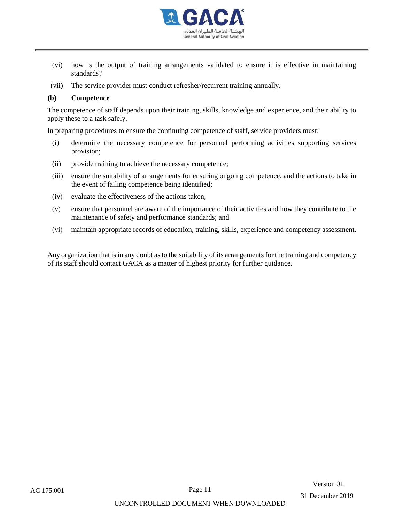

- (vi) how is the output of training arrangements validated to ensure it is effective in maintaining standards?
- (vii) The service provider must conduct refresher/recurrent training annually.

#### **(b) Competence**

The competence of staff depends upon their training, skills, knowledge and experience, and their ability to apply these to a task safely.

In preparing procedures to ensure the continuing competence of staff, service providers must:

- (i) determine the necessary competence for personnel performing activities supporting services provision;
- (ii) provide training to achieve the necessary competence;
- (iii) ensure the suitability of arrangements for ensuring ongoing competence, and the actions to take in the event of failing competence being identified;
- (iv) evaluate the effectiveness of the actions taken;
- (v) ensure that personnel are aware of the importance of their activities and how they contribute to the maintenance of safety and performance standards; and
- (vi) maintain appropriate records of education, training, skills, experience and competency assessment.

Any organization that is in any doubt as to the suitability of its arrangements for the training and competency of its staff should contact GACA as a matter of highest priority for further guidance.

Version 01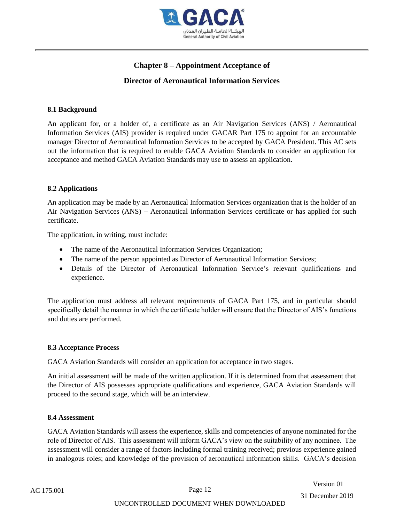

# **Chapter 8 – Appointment Acceptance of**

# **Director of Aeronautical Information Services**

## **8.1 Background**

An applicant for, or a holder of, a certificate as an Air Navigation Services (ANS) / Aeronautical Information Services (AIS) provider is required under GACAR Part 175 to appoint for an accountable manager Director of Aeronautical Information Services to be accepted by GACA President. This AC sets out the information that is required to enable GACA Aviation Standards to consider an application for acceptance and method GACA Aviation Standards may use to assess an application.

## **8.2 Applications**

An application may be made by an Aeronautical Information Services organization that is the holder of an Air Navigation Services (ANS) – Aeronautical Information Services certificate or has applied for such certificate.

The application, in writing, must include:

- The name of the Aeronautical Information Services Organization;
- The name of the person appointed as Director of Aeronautical Information Services;
- Details of the Director of Aeronautical Information Service's relevant qualifications and experience.

The application must address all relevant requirements of GACA Part 175, and in particular should specifically detail the manner in which the certificate holder will ensure that the Director of AIS's functions and duties are performed.

## **8.3 Acceptance Process**

GACA Aviation Standards will consider an application for acceptance in two stages.

An initial assessment will be made of the written application. If it is determined from that assessment that the Director of AIS possesses appropriate qualifications and experience, GACA Aviation Standards will proceed to the second stage, which will be an interview.

## **8.4 Assessment**

GACA Aviation Standards will assess the experience, skills and competencies of anyone nominated for the role of Director of AIS. This assessment will inform GACA's view on the suitability of any nominee. The assessment will consider a range of factors including formal training received; previous experience gained in analogous roles; and knowledge of the provision of aeronautical information skills. GACA's decision

Version 01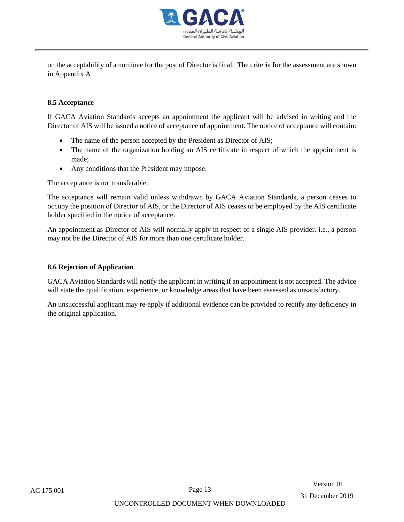

on the acceptability of a nominee for the post of Director is final. The criteria for the assessment are shown in Appendix A

#### **8.5 Acceptance**

If GACA Aviation Standards accepts an appointment the applicant will be advised in writing and the Director of AIS will be issued a notice of acceptance of appointment. The notice of acceptance will contain:

- The name of the person accepted by the President as Director of AIS;
- The name of the organization holding an AIS certificate in respect of which the appointment is made;
- Any conditions that the President may impose.

The acceptance is not transferable.

The acceptance will remain valid unless withdrawn by GACA Aviation Standards, a person ceases to occupy the position of Director of AIS, or the Director of AIS ceases to be employed by the AIS certificate holder specified in the notice of acceptance.

An appointment as Director of AIS will normally apply in respect of a single AIS provider. i.e., a person may not be the Director of AIS for more than one certificate holder.

#### **8.6 Rejection of Application**

GACA Aviation Standards will notify the applicant in writing if an appointment is not accepted. The advice will state the qualification, experience, or knowledge areas that have been assessed as unsatisfactory.

An unsuccessful applicant may re-apply if additional evidence can be provided to rectify any deficiency in the original application.

Version 01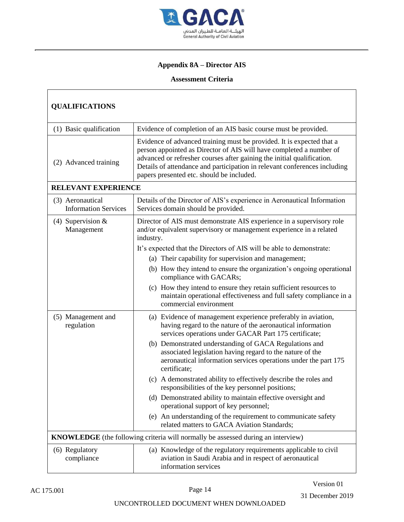

# **Appendix 8A – Director AIS**

## **Assessment Criteria**

| <b>QUALIFICATIONS</b>                                                                   |                                                                                                                                                                                                                                                                                                                                                  |  |  |
|-----------------------------------------------------------------------------------------|--------------------------------------------------------------------------------------------------------------------------------------------------------------------------------------------------------------------------------------------------------------------------------------------------------------------------------------------------|--|--|
| (1) Basic qualification                                                                 | Evidence of completion of an AIS basic course must be provided.                                                                                                                                                                                                                                                                                  |  |  |
| (2) Advanced training                                                                   | Evidence of advanced training must be provided. It is expected that a<br>person appointed as Director of AIS will have completed a number of<br>advanced or refresher courses after gaining the initial qualification.<br>Details of attendance and participation in relevant conferences including<br>papers presented etc. should be included. |  |  |
| RELEVANT EXPERIENCE                                                                     |                                                                                                                                                                                                                                                                                                                                                  |  |  |
| (3) Aeronautical<br><b>Information Services</b>                                         | Details of the Director of AIS's experience in Aeronautical Information<br>Services domain should be provided.                                                                                                                                                                                                                                   |  |  |
| (4) Supervision $&$<br>Management                                                       | Director of AIS must demonstrate AIS experience in a supervisory role<br>and/or equivalent supervisory or management experience in a related<br>industry.                                                                                                                                                                                        |  |  |
|                                                                                         | It's expected that the Directors of AIS will be able to demonstrate:                                                                                                                                                                                                                                                                             |  |  |
|                                                                                         | (a) Their capability for supervision and management;                                                                                                                                                                                                                                                                                             |  |  |
|                                                                                         | (b) How they intend to ensure the organization's ongoing operational<br>compliance with GACARs;                                                                                                                                                                                                                                                  |  |  |
|                                                                                         | (c) How they intend to ensure they retain sufficient resources to<br>maintain operational effectiveness and full safety compliance in a<br>commercial environment                                                                                                                                                                                |  |  |
| (5) Management and<br>regulation                                                        | (a) Evidence of management experience preferably in aviation,<br>having regard to the nature of the aeronautical information<br>services operations under GACAR Part 175 certificate;                                                                                                                                                            |  |  |
|                                                                                         | (b) Demonstrated understanding of GACA Regulations and<br>associated legislation having regard to the nature of the<br>aeronautical information services operations under the part 175<br>certificate;                                                                                                                                           |  |  |
|                                                                                         | (c) A demonstrated ability to effectively describe the roles and<br>responsibilities of the key personnel positions;                                                                                                                                                                                                                             |  |  |
|                                                                                         | (d) Demonstrated ability to maintain effective oversight and<br>operational support of key personnel;                                                                                                                                                                                                                                            |  |  |
|                                                                                         | (e) An understanding of the requirement to communicate safety<br>related matters to GACA Aviation Standards;                                                                                                                                                                                                                                     |  |  |
| <b>KNOWLEDGE</b> (the following criteria will normally be assessed during an interview) |                                                                                                                                                                                                                                                                                                                                                  |  |  |
| (6) Regulatory<br>compliance                                                            | (a) Knowledge of the regulatory requirements applicable to civil<br>aviation in Saudi Arabia and in respect of aeronautical<br>information services                                                                                                                                                                                              |  |  |

Г

Version 01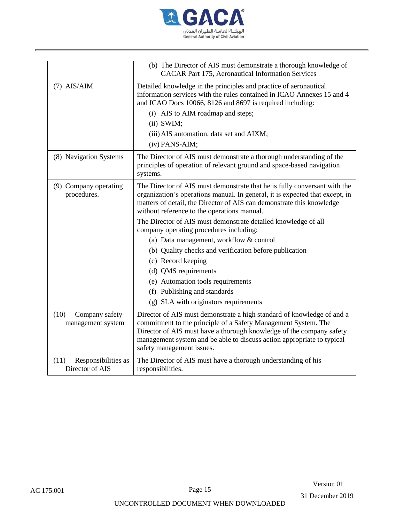

|                                                | (b) The Director of AIS must demonstrate a thorough knowledge of<br><b>GACAR Part 175, Aeronautical Information Services</b>                                                                                                                                                                                            |
|------------------------------------------------|-------------------------------------------------------------------------------------------------------------------------------------------------------------------------------------------------------------------------------------------------------------------------------------------------------------------------|
| $(7)$ AIS/AIM                                  | Detailed knowledge in the principles and practice of aeronautical<br>information services with the rules contained in ICAO Annexes 15 and 4<br>and ICAO Docs 10066, 8126 and 8697 is required including:                                                                                                                |
|                                                | (i) AIS to AIM roadmap and steps;<br>$(ii)$ SWIM;                                                                                                                                                                                                                                                                       |
|                                                | (iii) AIS automation, data set and AIXM;<br>(iv) PANS-AIM;                                                                                                                                                                                                                                                              |
| (8) Navigation Systems                         | The Director of AIS must demonstrate a thorough understanding of the<br>principles of operation of relevant ground and space-based navigation<br>systems.                                                                                                                                                               |
| (9) Company operating<br>procedures.           | The Director of AIS must demonstrate that he is fully conversant with the<br>organization's operations manual. In general, it is expected that except, in<br>matters of detail, the Director of AIS can demonstrate this knowledge<br>without reference to the operations manual.                                       |
|                                                | The Director of AIS must demonstrate detailed knowledge of all<br>company operating procedures including:                                                                                                                                                                                                               |
|                                                | (a) Data management, workflow & control                                                                                                                                                                                                                                                                                 |
|                                                | (b) Quality checks and verification before publication                                                                                                                                                                                                                                                                  |
|                                                | (c) Record keeping                                                                                                                                                                                                                                                                                                      |
|                                                | (d) QMS requirements                                                                                                                                                                                                                                                                                                    |
|                                                | (e) Automation tools requirements                                                                                                                                                                                                                                                                                       |
|                                                | (f) Publishing and standards                                                                                                                                                                                                                                                                                            |
|                                                | (g) SLA with originators requirements                                                                                                                                                                                                                                                                                   |
| (10)<br>Company safety<br>management system    | Director of AIS must demonstrate a high standard of knowledge of and a<br>commitment to the principle of a Safety Management System. The<br>Director of AIS must have a thorough knowledge of the company safety<br>management system and be able to discuss action appropriate to typical<br>safety management issues. |
| Responsibilities as<br>(11)<br>Director of AIS | The Director of AIS must have a thorough understanding of his<br>responsibilities.                                                                                                                                                                                                                                      |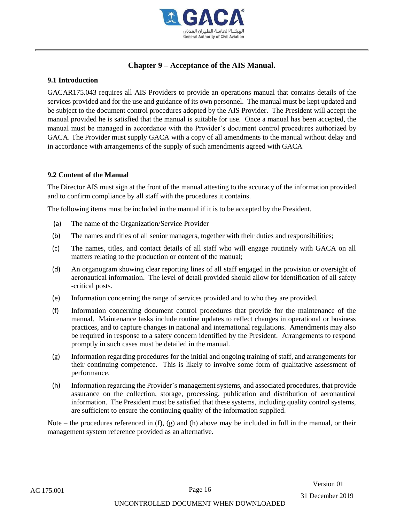

# **Chapter 9 – Acceptance of the AIS Manual.**

#### **9.1 Introduction**

GACAR175.043 requires all AIS Providers to provide an operations manual that contains details of the services provided and for the use and guidance of its own personnel. The manual must be kept updated and be subject to the document control procedures adopted by the AIS Provider. The President will accept the manual provided he is satisfied that the manual is suitable for use. Once a manual has been accepted, the manual must be managed in accordance with the Provider's document control procedures authorized by GACA. The Provider must supply GACA with a copy of all amendments to the manual without delay and in accordance with arrangements of the supply of such amendments agreed with GACA

#### **9.2 Content of the Manual**

The Director AIS must sign at the front of the manual attesting to the accuracy of the information provided and to confirm compliance by all staff with the procedures it contains.

The following items must be included in the manual if it is to be accepted by the President.

- (a) The name of the Organization/Service Provider
- (b) The names and titles of all senior managers, together with their duties and responsibilities;
- (c) The names, titles, and contact details of all staff who will engage routinely with GACA on all matters relating to the production or content of the manual;
- (d) An organogram showing clear reporting lines of all staff engaged in the provision or oversight of aeronautical information. The level of detail provided should allow for identification of all safety -critical posts.
- (e) Information concerning the range of services provided and to who they are provided.
- (f) Information concerning document control procedures that provide for the maintenance of the manual. Maintenance tasks include routine updates to reflect changes in operational or business practices, and to capture changes in national and international regulations. Amendments may also be required in response to a safety concern identified by the President. Arrangements to respond promptly in such cases must be detailed in the manual.
- (g) Information regarding procedures for the initial and ongoing training of staff, and arrangements for their continuing competence. This is likely to involve some form of qualitative assessment of performance.
- (h) Information regarding the Provider's management systems, and associated procedures, that provide assurance on the collection, storage, processing, publication and distribution of aeronautical information. The President must be satisfied that these systems, including quality control systems, are sufficient to ensure the continuing quality of the information supplied.

Note – the procedures referenced in  $(f)$ ,  $(g)$  and  $(h)$  above may be included in full in the manual, or their management system reference provided as an alternative.